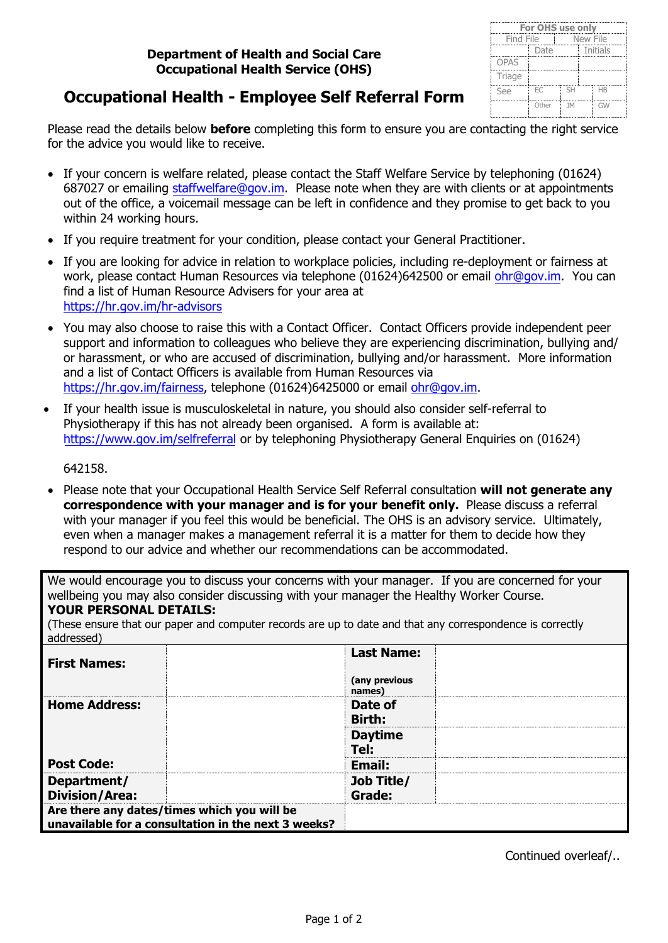| <b>For OHS use only</b> |       |                |  |                      |  |  |
|-------------------------|-------|----------------|--|----------------------|--|--|
| Find File               |       | New File       |  |                      |  |  |
|                         | Date  |                |  | Initials             |  |  |
| <b>OPAS</b>             |       |                |  |                      |  |  |
| Triage                  |       |                |  |                      |  |  |
| See                     | EC    | <b>SH</b>      |  | <b>H<sub>B</sub></b> |  |  |
|                         | Other | 1 <sub>M</sub> |  | GW                   |  |  |

## **Occupational Health - Employee Self Referral Form**

Please read the details below **before** completing this form to ensure you are contacting the right service for the advice you would like to receive.

- If your concern is welfare related, please contact the Staff Welfare Service by telephoning (01624) 687027 or emailing [staffwelfare@gov.im.](mailto:staffwelfare@gov.im) Please note when they are with clients or at appointments out of the office, a voicemail message can be left in confidence and they promise to get back to you within 24 working hours.
- If you require treatment for your condition, please contact your General Practitioner.
- If you are looking for advice in relation to workplace policies, including re-deployment or fairness at work, please contact Human Resources via telephone (01624)642500 or email [ohr@gov.im.](mailto:ohr@gov.im) You can find a list of Human Resource Advisers for your area at [https://hr.gov.im/hr-advisors](https://www.gov.im/hr/Employment_Services/eswelcome.xml?menuid=17607)
- You may also choose to raise this with a Contact Officer. Contact Officers provide independent peer support and information to colleagues who believe they are experiencing discrimination, bullying and/ or harassment, or who are accused of discrimination, bullying and/or harassment. More information and a list of Contact Officers is available from Human Resources via [https://hr.gov.im/fairness](http://www.gov.im/hr/fairness/sources.xml), telephone (01624)6425000 or email ohr@gov.i[m.](mailto:ohr@gov.im)
- If your health issue is musculoskeletal in nature, you should also consider self-referral to Physiotherapy if this has not already been organised. A form is available at: <https://www.gov.im/selfreferral> [or by telephoning Physiotherapy General Enquiries on \(01624\)](https://www.gov.im/categories/health-and-wellbeing/physiotherapy-services/physiotherapy-self-referral/)

[642158.](https://www.gov.im/categories/health-and-wellbeing/physiotherapy-services/physiotherapy-self-referral/)

• Please note that your Occupational Health Service Self Referral consultation will not generate any **correspondence with your manager and is for your benefit only.** Please discuss a referral with your manager if you feel this would be beneficial. The OHS is an advisory service. Ultimately, even when a manager makes a management referral it is a matter for them to decide how they respond to our advice and whether our recommendations can be accommodated.

We would encourage you to discuss your concerns with your manager. If you are concerned for your wellbeing you may also consider discussing with your manager the Healthy Worker Course.

**YOUR PERSONAL DETAILS:**

(These ensure that our paper and computer records are up to date and that any correspondence is correctly addressed)

| <b>First Names:</b>                                                                                | <b>Last Name:</b>       |
|----------------------------------------------------------------------------------------------------|-------------------------|
|                                                                                                    | (any previous<br>names) |
| <b>Home Address:</b>                                                                               | Date of                 |
|                                                                                                    | <b>Birth:</b>           |
|                                                                                                    | <b>Daytime</b>          |
|                                                                                                    | Tel:                    |
| <b>Post Code:</b>                                                                                  | Email:                  |
| Department/                                                                                        | Job Title/              |
| <b>Division/Area:</b>                                                                              | Grade:                  |
| Are there any dates/times which you will be<br>unavailable for a consultation in the next 3 weeks? |                         |

Continued overleaf/..